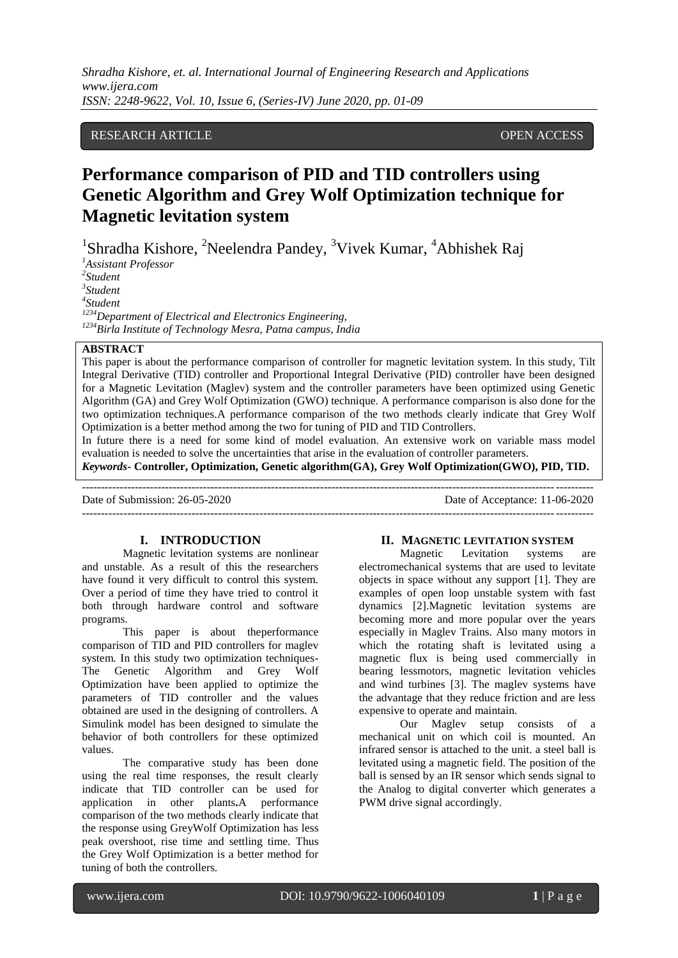*Shradha Kishore, et. al. International Journal of Engineering Research and Applications www.ijera.com ISSN: 2248-9622, Vol. 10, Issue 6, (Series-IV) June 2020, pp. 01-09*

# RESEARCH ARTICLE **CONTRACT ARTICLE** AND CONTRACT OPEN ACCESS

# **Performance comparison of PID and TID controllers using Genetic Algorithm and Grey Wolf Optimization technique for Magnetic levitation system**

<sup>1</sup>Shradha Kishore, <sup>2</sup>Neelendra Pandey, <sup>3</sup>Vivek Kumar, <sup>4</sup>Abhishek Raj

*1 Assistant Professor 2 Student 3 Student 4 Student <sup>1234</sup>Department of Electrical and Electronics Engineering, <sup>1234</sup>Birla Institute of Technology Mesra, Patna campus, India*

# **ABSTRACT**

This paper is about the performance comparison of controller for magnetic levitation system. In this study, Tilt Integral Derivative (TID) controller and Proportional Integral Derivative (PID) controller have been designed for a Magnetic Levitation (Maglev) system and the controller parameters have been optimized using Genetic Algorithm (GA) and Grey Wolf Optimization (GWO) technique. A performance comparison is also done for the two optimization techniques.A performance comparison of the two methods clearly indicate that Grey Wolf Optimization is a better method among the two for tuning of PID and TID Controllers.

In future there is a need for some kind of model evaluation. An extensive work on variable mass model evaluation is needed to solve the uncertainties that arise in the evaluation of controller parameters.

*Keywords***- Controller, Optimization, Genetic algorithm(GA), Grey Wolf Optimization(GWO), PID, TID.**

--------------------------------------------------------------------------------------------------------------------------------------- Date of Submission: 26-05-2020 Date of Acceptance: 11-06-2020 ---------------------------------------------------------------------------------------------------------------------------------------

### **I. INTRODUCTION**

Magnetic levitation systems are nonlinear and unstable. As a result of this the researchers have found it very difficult to control this system. Over a period of time they have tried to control it both through hardware control and software programs.

This paper is about theperformance comparison of TID and PID controllers for maglev system. In this study two optimization techniques-The Genetic Algorithm and Grey Wolf Optimization have been applied to optimize the parameters of TID controller and the values obtained are used in the designing of controllers. A Simulink model has been designed to simulate the behavior of both controllers for these optimized values.

The comparative study has been done using the real time responses, the result clearly indicate that TID controller can be used for application in other plants**.**A performance comparison of the two methods clearly indicate that the response using GreyWolf Optimization has less peak overshoot, rise time and settling time. Thus the Grey Wolf Optimization is a better method for tuning of both the controllers.

# **II. MAGNETIC LEVITATION SYSTEM**<br>Magnetic Levitation systems

Levitation systems are electromechanical systems that are used to levitate objects in space without any support [1]. They are examples of open loop unstable system with fast dynamics [2].Magnetic levitation systems are becoming more and more popular over the years especially in Maglev Trains. Also many motors in which the rotating shaft is levitated using a magnetic flux is being used commercially in bearing lessmotors, magnetic levitation vehicles and wind turbines [3]. The maglev systems have the advantage that they reduce friction and are less expensive to operate and maintain.

Our Maglev setup consists of a mechanical unit on which coil is mounted. An infrared sensor is attached to the unit. a steel ball is levitated using a magnetic field. The position of the ball is sensed by an IR sensor which sends signal to the Analog to digital converter which generates a PWM drive signal accordingly.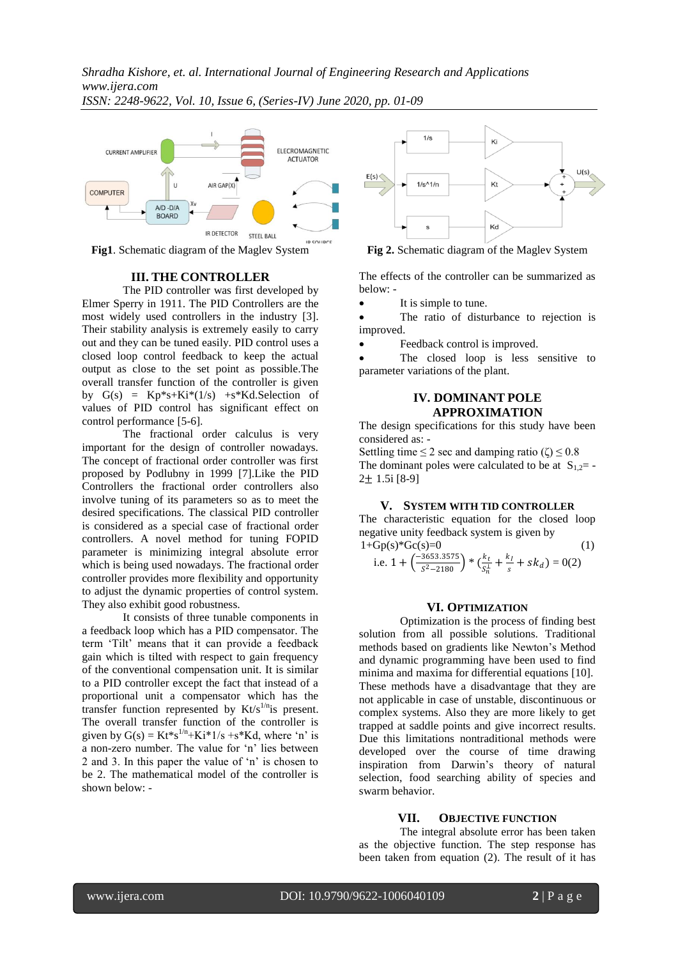



**Fig1**. Schematic diagram of the Maglev System

# **III. THE CONTROLLER**

The PID controller was first developed by Elmer Sperry in 1911. The PID Controllers are the most widely used controllers in the industry [3]. Their stability analysis is extremely easily to carry out and they can be tuned easily. PID control uses a closed loop control feedback to keep the actual output as close to the set point as possible.The overall transfer function of the controller is given by  $G(s) = Kp*s+Ki*(1/s) + s*Kd.Selection$  of values of PID control has significant effect on control performance [5-6].

The fractional order calculus is very important for the design of controller nowadays. The concept of fractional order controller was first proposed by Podlubny in 1999 [7].Like the PID Controllers the fractional order controllers also involve tuning of its parameters so as to meet the desired specifications. The classical PID controller is considered as a special case of fractional order controllers. A novel method for tuning FOPID parameter is minimizing integral absolute error which is being used nowadays. The fractional order controller provides more flexibility and opportunity to adjust the dynamic properties of control system. They also exhibit good robustness.

It consists of three tunable components in a feedback loop which has a PID compensator. The term "Tilt" means that it can provide a feedback gain which is tilted with respect to gain frequency of the conventional compensation unit. It is similar to a PID controller except the fact that instead of a proportional unit a compensator which has the transfer function represented by  $Kt/s^{1/n}$  is present. The overall transfer function of the controller is given by  $G(s) = Kt*s^{1/n} + Ki*1/s + s*Kd$ , where 'n' is a non-zero number. The value for "n" lies between 2 and 3. In this paper the value of "n" is chosen to be 2. The mathematical model of the controller is shown below: -



**Fig 2.** Schematic diagram of the Maglev System

The effects of the controller can be summarized as below: -

It is simple to tune.

 The ratio of disturbance to rejection is improved.

Feedback control is improved.

 The closed loop is less sensitive to parameter variations of the plant.

# **IV. DOMINANT POLE APPROXIMATION**

The design specifications for this study have been considered as: -

Settling time  $\leq 2$  sec and damping ratio ( $\zeta$ )  $\leq 0.8$ The dominant poles were calculated to be at  $S_{1,2}$ = 2± 1.5i [8-9]

#### **V. SYSTEM WITH TID CONTROLLER**

The characteristic equation for the closed loop negative unity feedback system is given by  $1+Gp(s)*Gc(s)=0$  (1)

i.e. 
$$
1 + \left(\frac{-3653.3575}{s^2 - 2180}\right) * \left(\frac{k_t}{s_n^{\perp}} + \frac{k_l}{s} + sk_d\right) = 0(2)
$$

#### **VI. OPTIMIZATION**

Optimization is the process of finding best solution from all possible solutions. Traditional methods based on gradients like Newton"s Method and dynamic programming have been used to find minima and maxima for differential equations [10]. These methods have a disadvantage that they are not applicable in case of unstable, discontinuous or complex systems. Also they are more likely to get trapped at saddle points and give incorrect results. Due this limitations nontraditional methods were developed over the course of time drawing inspiration from Darwin"s theory of natural selection, food searching ability of species and swarm behavior.

# **VII. OBJECTIVE FUNCTION**

The integral absolute error has been taken as the objective function. The step response has been taken from equation (2). The result of it has

www.ijera.com DOI: 10.9790/9622-1006040109 **2** | P a g e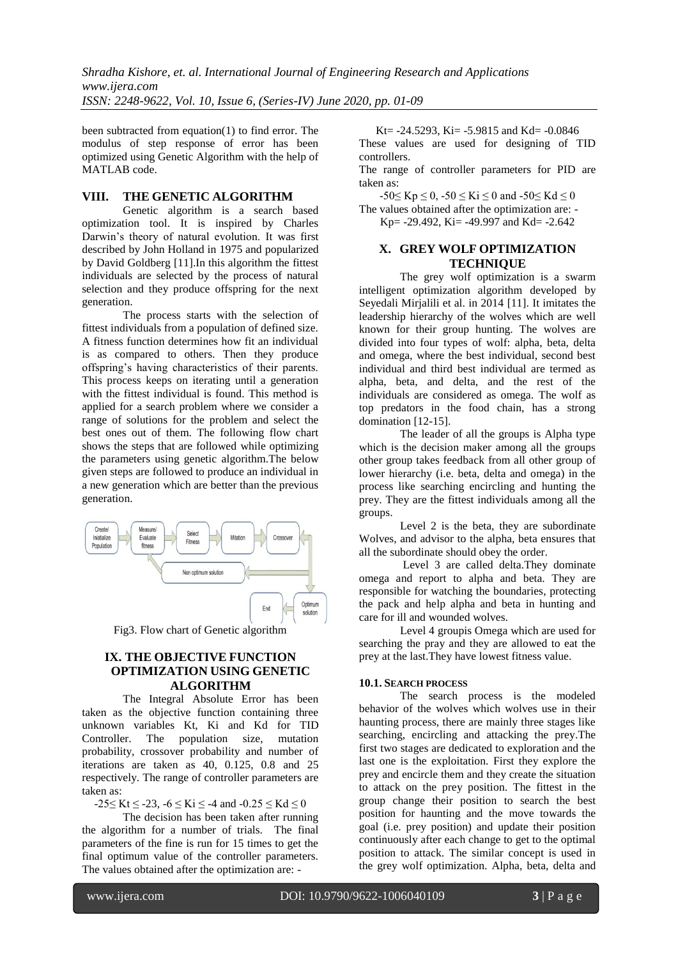*Shradha Kishore, et. al. International Journal of Engineering Research and Applications www.ijera.com ISSN: 2248-9622, Vol. 10, Issue 6, (Series-IV) June 2020, pp. 01-09*

been subtracted from equation(1) to find error. The modulus of step response of error has been optimized using Genetic Algorithm with the help of MATLAB code.

# **VIII. THE GENETIC ALGORITHM**

Genetic algorithm is a search based optimization tool. It is inspired by Charles Darwin"s theory of natural evolution. It was first described by John Holland in 1975 and popularized by David Goldberg [11].In this algorithm the fittest individuals are selected by the process of natural selection and they produce offspring for the next generation.

The process starts with the selection of fittest individuals from a population of defined size. A fitness function determines how fit an individual is as compared to others. Then they produce offspring"s having characteristics of their parents. This process keeps on iterating until a generation with the fittest individual is found. This method is applied for a search problem where we consider a range of solutions for the problem and select the best ones out of them. The following flow chart shows the steps that are followed while optimizing the parameters using genetic algorithm.The below given steps are followed to produce an individual in a new generation which are better than the previous generation.



Fig3. Flow chart of Genetic algorithm

# **IX. THE OBJECTIVE FUNCTION OPTIMIZATION USING GENETIC ALGORITHM**

The Integral Absolute Error has been taken as the objective function containing three unknown variables Kt, Ki and Kd for TID Controller. The population size, mutation probability, crossover probability and number of iterations are taken as 40, 0.125, 0.8 and 25 respectively. The range of controller parameters are taken as:

 $-25 \leq Kt \leq -23$ ,  $-6 \leq Ki \leq -4$  and  $-0.25 \leq Kd \leq 0$ 

The decision has been taken after running the algorithm for a number of trials. The final parameters of the fine is run for 15 times to get the final optimum value of the controller parameters. The values obtained after the optimization are: -

Kt=  $-24.5293$ , Ki=  $-5.9815$  and Kd=  $-0.0846$ These values are used for designing of TID controllers.

The range of controller parameters for PID are taken as:

 $-50 \leq Kp \leq 0$ ,  $-50 \leq Kj \leq 0$  and  $-50 \leq Kd \leq 0$ The values obtained after the optimization are: -

Kp= -29.492, Ki= -49.997 and Kd= -2.642

### **X. GREY WOLF OPTIMIZATION TECHNIQUE**

The grey wolf optimization is a swarm intelligent optimization algorithm developed by Seyedali Mirjalili et al. in 2014 [11]. It imitates the leadership hierarchy of the wolves which are well known for their group hunting. The wolves are divided into four types of wolf: alpha, beta, delta and omega, where the best individual, second best individual and third best individual are termed as alpha, beta, and delta, and the rest of the individuals are considered as omega. The wolf as top predators in the food chain, has a strong domination [12-15].

The leader of all the groups is Alpha type which is the decision maker among all the groups other group takes feedback from all other group of lower hierarchy (i.e. beta, delta and omega) in the process like searching encircling and hunting the prey. They are the fittest individuals among all the groups.

Level 2 is the beta, they are subordinate Wolves, and advisor to the alpha, beta ensures that all the subordinate should obey the order.

Level 3 are called delta.They dominate omega and report to alpha and beta. They are responsible for watching the boundaries, protecting the pack and help alpha and beta in hunting and care for ill and wounded wolves.

Level 4 groupis Omega which are used for searching the pray and they are allowed to eat the prey at the last.They have lowest fitness value.

#### **10.1. SEARCH PROCESS**

The search process is the modeled behavior of the wolves which wolves use in their haunting process, there are mainly three stages like searching, encircling and attacking the prey.The first two stages are dedicated to exploration and the last one is the exploitation. First they explore the prey and encircle them and they create the situation to attack on the prey position. The fittest in the group change their position to search the best position for haunting and the move towards the goal (i.e. prey position) and update their position continuously after each change to get to the optimal position to attack. The similar concept is used in the grey wolf optimization. Alpha, beta, delta and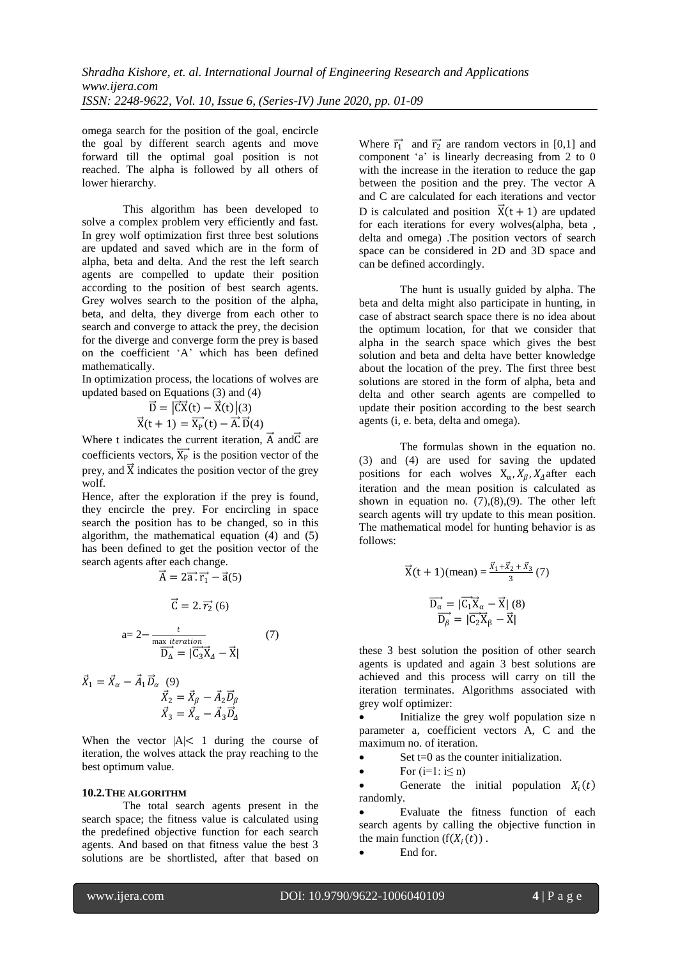omega search for the position of the goal, encircle the goal by different search agents and move forward till the optimal goal position is not reached. The alpha is followed by all others of lower hierarchy.

This algorithm has been developed to solve a complex problem very efficiently and fast. In grey wolf optimization first three best solutions are updated and saved which are in the form of alpha, beta and delta. And the rest the left search agents are compelled to update their position according to the position of best search agents. Grey wolves search to the position of the alpha, beta, and delta, they diverge from each other to search and converge to attack the prey, the decision for the diverge and converge form the prey is based on the coefficient "A" which has been defined mathematically.

In optimization process, the locations of wolves are updated based on Equations (3) and (4)

$$
\vec{D} = |\vec{CX}(t) - \vec{X}(t)|(3)
$$

$$
\vec{X}(t+1) = \vec{X_P}(t) - \vec{A} \cdot \vec{D}(4)
$$

Where t indicates the current iteration,  $\vec{A}$  and  $\vec{C}$  are coefficients vectors,  $\overrightarrow{X_P}$  is the position vector of the prey, and  $\vec{X}$  indicates the position vector of the grey wolf.

Hence, after the exploration if the prey is found, they encircle the prey. For encircling in space search the position has to be changed, so in this algorithm, the mathematical equation (4) and (5) has been defined to get the position vector of the search agents after each change.

$$
\vec{A} = 2\vec{a} \cdot \vec{r}_1 - \vec{a}(5)
$$

$$
\vec{C} = 2 \cdot \vec{r}_2 \cdot (6)
$$

$$
a = 2 - \frac{t}{\max \text{ iteration}} \tag{7}
$$

$$
\vec{D}_{\Delta} = |\vec{C}_3 \vec{X}_\Delta - \vec{X}|
$$

$$
\vec{X}_1 = \vec{X}_{\alpha} - \vec{A}_1 \vec{D}_{\alpha} \tag{9}
$$

$$
\vec{X}_2 = \vec{X}_{\beta} - \vec{A}_2 \vec{D}_{\beta}
$$

$$
\vec{X}_3 = \vec{X}_{\alpha} - \vec{A}_3 \vec{D}_{\Delta}
$$

When the vector  $|A| < 1$  during the course of iteration, the wolves attack the pray reaching to the best optimum value.

#### **10.2.THE ALGORITHM**

The total search agents present in the search space; the fitness value is calculated using the predefined objective function for each search agents. And based on that fitness value the best 3 solutions are be shortlisted, after that based on Where  $\vec{r}_1$  and  $\vec{r}_2$  are random vectors in [0,1] and component 'a' is linearly decreasing from 2 to 0 with the increase in the iteration to reduce the gap between the position and the prey. The vector A and C are calculated for each iterations and vector D is calculated and position  $\vec{X}(t + 1)$  are updated for each iterations for every wolves(alpha, beta , delta and omega) .The position vectors of search space can be considered in 2D and 3D space and can be defined accordingly.

The hunt is usually guided by alpha. The beta and delta might also participate in hunting, in case of abstract search space there is no idea about the optimum location, for that we consider that alpha in the search space which gives the best solution and beta and delta have better knowledge about the location of the prey. The first three best solutions are stored in the form of alpha, beta and delta and other search agents are compelled to update their position according to the best search agents (i, e. beta, delta and omega).

The formulas shown in the equation no. (3) and (4) are used for saving the updated positions for each wolves  $X_{\alpha}$ ,  $X_{\beta}$ ,  $X_{\Delta}$  after each iteration and the mean position is calculated as shown in equation no.  $(7),(8),(9)$ . The other left search agents will try update to this mean position. The mathematical model for hunting behavior is as follows:

$$
\vec{X}(t + 1)(mean) = \frac{\vec{x}_1 + \vec{x}_2 + \vec{x}_3}{3} (7)
$$

$$
\overrightarrow{D_{\alpha}} = |\overrightarrow{C_1X}_{\alpha} - \vec{X}| (8)
$$

$$
\overrightarrow{D_{\beta}} = |\overrightarrow{C_2X}_{\beta} - \vec{X}|
$$

these 3 best solution the position of other search agents is updated and again 3 best solutions are achieved and this process will carry on till the iteration terminates. Algorithms associated with grey wolf optimizer:

 Initialize the grey wolf population size n parameter a, coefficient vectors A, C and the maximum no. of iteration.

 $\bullet$  Set t=0 as the counter initialization.

 $\bullet$  For  $(i=1: i \le n)$ 

• Generate the initial population  $X_i(t)$ randomly.

- Evaluate the fitness function of each search agents by calling the objective function in the main function  $(f(X_i(t)))$ .
	- End for.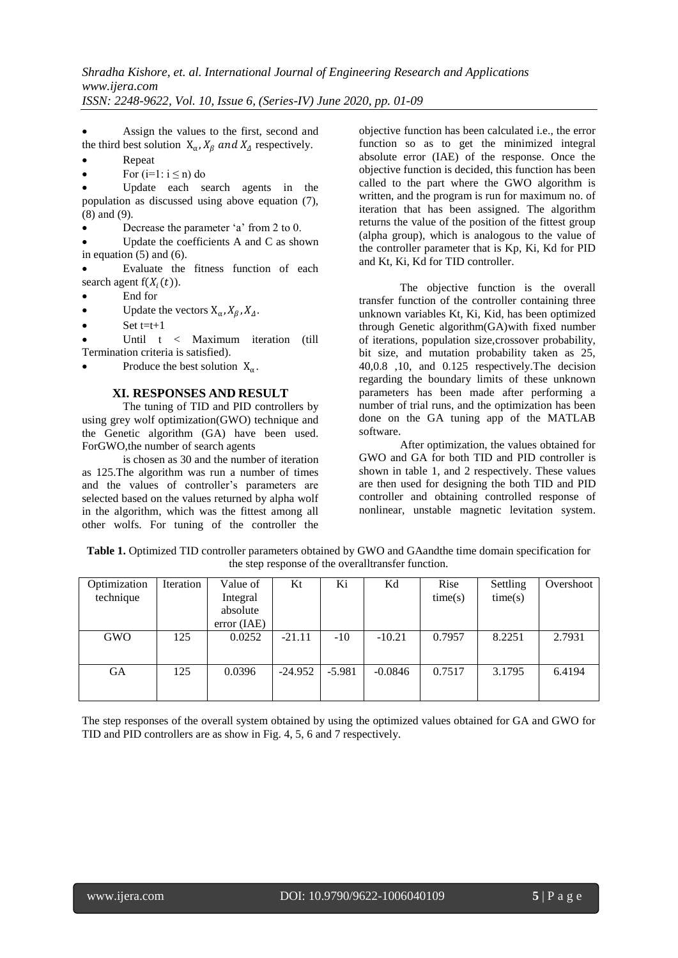Assign the values to the first, second and the third best solution  $X_{\alpha}$ ,  $X_{\beta}$  and  $X_{\Delta}$  respectively.

- Repeat
- For  $(i=1: i \le n)$  do

 Update each search agents in the population as discussed using above equation (7), (8) and (9).

Decrease the parameter 'a' from 2 to 0.

 Update the coefficients A and C as shown in equation  $(5)$  and  $(6)$ .

 Evaluate the fitness function of each search agent  $f(X_i(t))$ .

- End for
- Update the vectors  $X_{\alpha}$ ,  $X_{\beta}$ ,  $X_{\Delta}$ .
- Set  $t=t+1$

 Until t < Maximum iteration (till Termination criteria is satisfied).

• Produce the best solution  $X_\alpha$ .

# **XI. RESPONSES AND RESULT**

The tuning of TID and PID controllers by using grey wolf optimization(GWO) technique and the Genetic algorithm (GA) have been used. ForGWO,the number of search agents

is chosen as 30 and the number of iteration as 125.The algorithm was run a number of times and the values of controller's parameters are selected based on the values returned by alpha wolf in the algorithm, which was the fittest among all other wolfs. For tuning of the controller the objective function has been calculated i.e., the error function so as to get the minimized integral absolute error (IAE) of the response. Once the objective function is decided, this function has been called to the part where the GWO algorithm is written, and the program is run for maximum no. of iteration that has been assigned. The algorithm returns the value of the position of the fittest group (alpha group), which is analogous to the value of the controller parameter that is Kp, Ki, Kd for PID and Kt, Ki, Kd for TID controller.

The objective function is the overall transfer function of the controller containing three unknown variables Kt, Ki, Kid, has been optimized through Genetic algorithm(GA)with fixed number of iterations, population size,crossover probability, bit size, and mutation probability taken as 25, 40,0.8 ,10, and 0.125 respectively.The decision regarding the boundary limits of these unknown parameters has been made after performing a number of trial runs, and the optimization has been done on the GA tuning app of the MATLAB software.

After optimization, the values obtained for GWO and GA for both TID and PID controller is shown in table 1, and 2 respectively. These values are then used for designing the both TID and PID controller and obtaining controlled response of nonlinear, unstable magnetic levitation system.

| Optimization | Iteration | Value of    | Kt        | Ki       | Κd        | Rise    | Settling | Overshoot |
|--------------|-----------|-------------|-----------|----------|-----------|---------|----------|-----------|
| technique    |           | Integral    |           |          |           | time(s) | time(s)  |           |
|              |           | absolute    |           |          |           |         |          |           |
|              |           | error (IAE) |           |          |           |         |          |           |
| <b>GWO</b>   | 125       | 0.0252      | $-21.11$  | $-10$    | $-10.21$  | 0.7957  | 8.2251   | 2.7931    |
|              |           |             |           |          |           |         |          |           |
| GА           | 125       | 0.0396      | $-24.952$ | $-5.981$ | $-0.0846$ | 0.7517  | 3.1795   | 6.4194    |
|              |           |             |           |          |           |         |          |           |
|              |           |             |           |          |           |         |          |           |

**Table 1.** Optimized TID controller parameters obtained by GWO and GAandthe time domain specification for the step response of the overalltransfer function.

The step responses of the overall system obtained by using the optimized values obtained for GA and GWO for TID and PID controllers are as show in Fig. 4, 5, 6 and 7 respectively.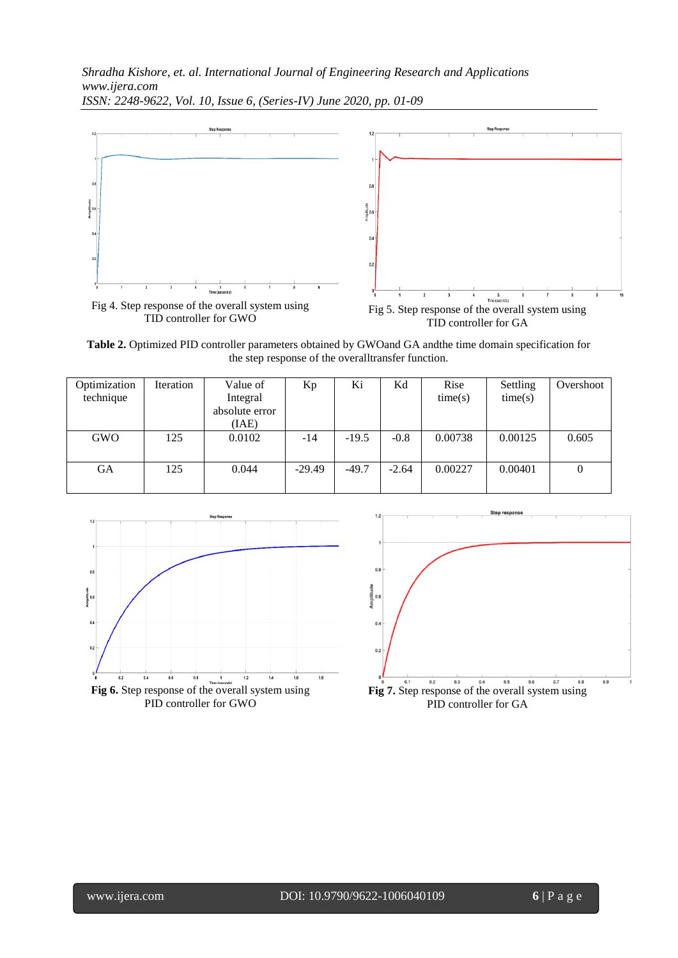*Shradha Kishore, et. al. International Journal of Engineering Research and Applications www.ijera.com ISSN: 2248-9622, Vol. 10, Issue 6, (Series-IV) June 2020, pp. 01-09*



**Table 2.** Optimized PID controller parameters obtained by GWOand GA andthe time domain specification for the step response of the overalltransfer function.

| Optimization<br>technique | Iteration | Value of<br>Integral<br>absolute error<br>(IAE) | Кp       | Ki      | Κd      | Rise<br>time(s) | Settling<br>time(s) | Overshoot |
|---------------------------|-----------|-------------------------------------------------|----------|---------|---------|-----------------|---------------------|-----------|
| <b>GWO</b>                | 125       | 0.0102                                          | -14      | $-19.5$ | $-0.8$  | 0.00738         | 0.00125             | 0.605     |
| GА                        | 125       | 0.044                                           | $-29.49$ | $-49.7$ | $-2.64$ | 0.00227         | 0.00401             | $\theta$  |



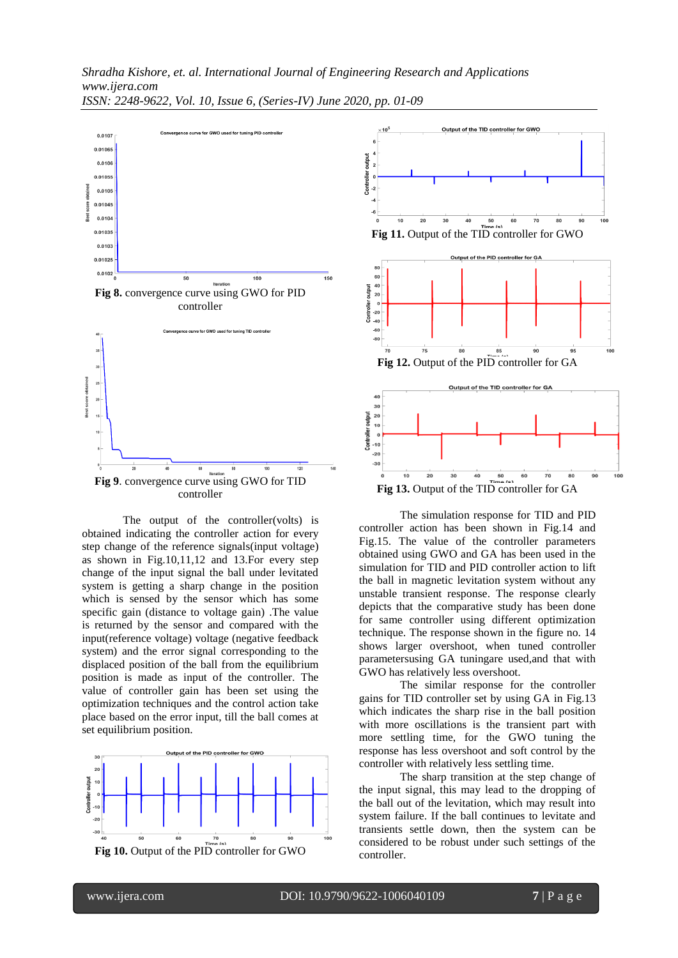

The output of the controller(volts) is obtained indicating the controller action for every step change of the reference signals(input voltage) as shown in Fig.10,11,12 and 13.For every step change of the input signal the ball under levitated system is getting a sharp change in the position which is sensed by the sensor which has some specific gain (distance to voltage gain) .The value is returned by the sensor and compared with the input(reference voltage) voltage (negative feedback system) and the error signal corresponding to the displaced position of the ball from the equilibrium position is made as input of the controller. The value of controller gain has been set using the optimization techniques and the control action take place based on the error input, till the ball comes at set equilibrium position.







**Fig 13.** Output of the TID controller for GA

The simulation response for TID and PID controller action has been shown in Fig.14 and Fig.15. The value of the controller parameters obtained using GWO and GA has been used in the simulation for TID and PID controller action to lift the ball in magnetic levitation system without any unstable transient response. The response clearly depicts that the comparative study has been done for same controller using different optimization technique. The response shown in the figure no. 14 shows larger overshoot, when tuned controller parametersusing GA tuningare used,and that with GWO has relatively less overshoot.

The similar response for the controller gains for TID controller set by using GA in Fig.13 which indicates the sharp rise in the ball position with more oscillations is the transient part with more settling time, for the GWO tuning the response has less overshoot and soft control by the controller with relatively less settling time.

The sharp transition at the step change of the input signal, this may lead to the dropping of the ball out of the levitation, which may result into system failure. If the ball continues to levitate and transients settle down, then the system can be considered to be robust under such settings of the controller.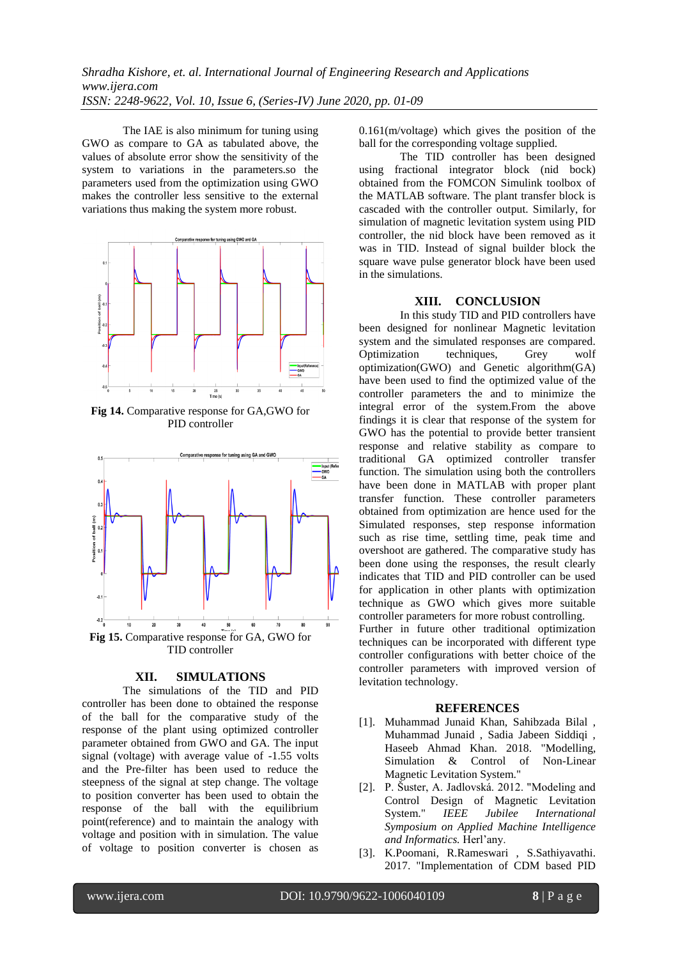The IAE is also minimum for tuning using GWO as compare to GA as tabulated above, the values of absolute error show the sensitivity of the system to variations in the parameters.so the parameters used from the optimization using GWO makes the controller less sensitive to the external variations thus making the system more robust.



**Fig 14.** Comparative response for GA,GWO for PID controller



### **XII. SIMULATIONS**

The simulations of the TID and PID controller has been done to obtained the response of the ball for the comparative study of the response of the plant using optimized controller parameter obtained from GWO and GA. The input signal (voltage) with average value of -1.55 volts and the Pre-filter has been used to reduce the steepness of the signal at step change. The voltage to position converter has been used to obtain the response of the ball with the equilibrium point(reference) and to maintain the analogy with voltage and position with in simulation. The value of voltage to position converter is chosen as

0.161(m/voltage) which gives the position of the ball for the corresponding voltage supplied.

The TID controller has been designed using fractional integrator block (nid bock) obtained from the FOMCON Simulink toolbox of the MATLAB software. The plant transfer block is cascaded with the controller output. Similarly, for simulation of magnetic levitation system using PID controller, the nid block have been removed as it was in TID. Instead of signal builder block the square wave pulse generator block have been used in the simulations.

#### **XIII. CONCLUSION**

In this study TID and PID controllers have been designed for nonlinear Magnetic levitation system and the simulated responses are compared. Optimization techniques, Grey wolf optimization(GWO) and Genetic algorithm(GA) have been used to find the optimized value of the controller parameters the and to minimize the integral error of the system.From the above findings it is clear that response of the system for GWO has the potential to provide better transient response and relative stability as compare to traditional GA optimized controller transfer function. The simulation using both the controllers have been done in MATLAB with proper plant transfer function. These controller parameters obtained from optimization are hence used for the Simulated responses, step response information such as rise time, settling time, peak time and overshoot are gathered. The comparative study has been done using the responses, the result clearly indicates that TID and PID controller can be used for application in other plants with optimization technique as GWO which gives more suitable controller parameters for more robust controlling. Further in future other traditional optimization techniques can be incorporated with different type controller configurations with better choice of the controller parameters with improved version of levitation technology.

#### **REFERENCES**

- [1]. Muhammad Junaid Khan, Sahibzada Bilal , Muhammad Junaid , Sadia Jabeen Siddiqi , Haseeb Ahmad Khan. 2018. "Modelling, Simulation & Control of Non-Linear Magnetic Levitation System."
- [2]. P. Šuster, A. Jadlovská. 2012. "Modeling and Control Design of Magnetic Levitation System." *IEEE Jubilee International Symposium on Applied Machine Intelligence and Informatics.* Herl"any.
- [3]. K.Poomani, R.Rameswari , S.Sathiyavathi. 2017. "Implementation of CDM based PID